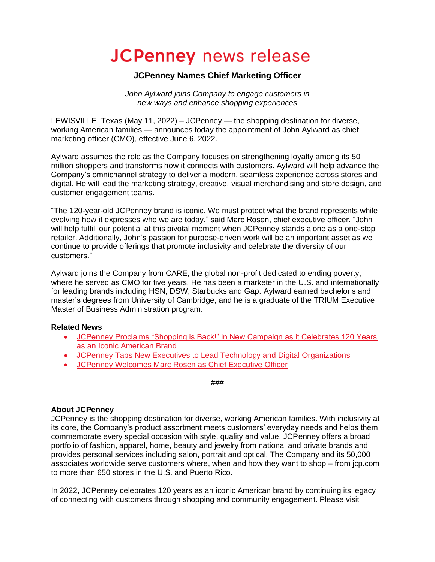# **JCPenney** news release

## **JCPenney Names Chief Marketing Officer**

*John Aylward joins Company to engage customers in new ways and enhance shopping experiences* 

LEWISVILLE, Texas (May 11, 2022) – JCPenney — the shopping destination for diverse, working American families — announces today the appointment of John Aylward as chief marketing officer (CMO), effective June 6, 2022.

Aylward assumes the role as the Company focuses on strengthening loyalty among its 50 million shoppers and transforms how it connects with customers. Aylward will help advance the Company's omnichannel strategy to deliver a modern, seamless experience across stores and digital. He will lead the marketing strategy, creative, visual merchandising and store design, and customer engagement teams.

"The 120-year-old JCPenney brand is iconic. We must protect what the brand represents while evolving how it expresses who we are today," said Marc Rosen, chief executive officer. "John will help fulfill our potential at this pivotal moment when JCPenney stands alone as a one-stop retailer. Additionally, John's passion for purpose-driven work will be an important asset as we continue to provide offerings that promote inclusivity and celebrate the diversity of our customers."

Aylward joins the Company from CARE, the global non-profit dedicated to ending poverty, where he served as CMO for five years. He has been a marketer in the U.S. and internationally for leading brands including HSN, DSW, Starbucks and Gap. Aylward earned bachelor's and master's degrees from University of Cambridge, and he is a graduate of the TRIUM Executive Master of Business Administration program.

#### **Related News**

- [JCPenney Proclaims "Shopping is Back!" in New Campaign as it Celebrates 120 Years](https://corporate.jcpenney.com/news-releases/2022/0404_shopping_is_back.html)  [as an Iconic American Brand](https://corporate.jcpenney.com/news-releases/2022/0404_shopping_is_back.html)
- [JCPenney Taps New Executives to Lead Technology and Digital Organizations](https://corporate.jcpenney.com/news-releases/2022/0111_new_technology_digital_leaders.html)
- [JCPenney Welcomes Marc Rosen as Chief Executive Officer](https://corporate.jcpenney.com/news-releases/2021/1025_welcomes_marc_rosen_as_chief_executive_officer.html)

###

#### **About JCPenney**

JCPenney is the shopping destination for diverse, working American families. With inclusivity at its core, the Company's product assortment meets customers' everyday needs and helps them commemorate every special occasion with style, quality and value. JCPenney offers a broad portfolio of fashion, apparel, home, beauty and jewelry from national and private brands and provides personal services including salon, portrait and optical. The Company and its 50,000 associates worldwide serve customers where, when and how they want to shop – from jcp.com to more than 650 stores in the U.S. and Puerto Rico.

In 2022, JCPenney celebrates 120 years as an iconic American brand by continuing its legacy of connecting with customers through shopping and community engagement. Please visit